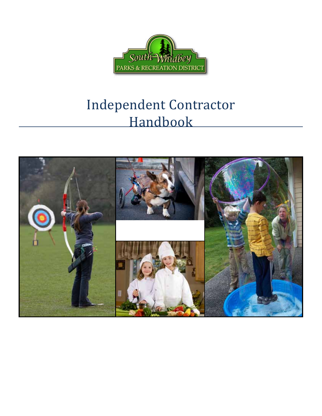

## Independent Contractor Handbook

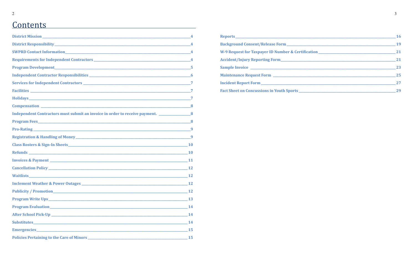## **Contents**

|                                                                                                       | $\overline{4}$ |
|-------------------------------------------------------------------------------------------------------|----------------|
|                                                                                                       |                |
|                                                                                                       |                |
| Program Development 5                                                                                 |                |
|                                                                                                       |                |
|                                                                                                       |                |
|                                                                                                       |                |
|                                                                                                       |                |
| <b>Compensation</b> 8                                                                                 |                |
| Independent Contractors must submit an invoice in order to receive payment. ________________________8 |                |
|                                                                                                       |                |
|                                                                                                       |                |
|                                                                                                       | -9             |
|                                                                                                       |                |
|                                                                                                       |                |
|                                                                                                       |                |
|                                                                                                       |                |
|                                                                                                       |                |
| <b>Inclement Weather &amp; Power Outages</b>                                                          | 12             |
|                                                                                                       | <b>12</b>      |
|                                                                                                       |                |
|                                                                                                       |                |
|                                                                                                       |                |
|                                                                                                       | 14             |
|                                                                                                       | 15             |
|                                                                                                       |                |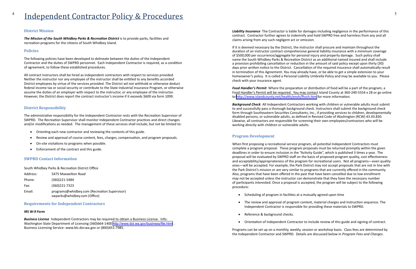## <span id="page-2-0"></span><sup>4</sup> Independent Contractor Policy & Procedures

#### **District Mission**

*The Mission of the South Whidbey Parks & Recreation District* is to provide parks, facilities and recreation programs for the citizens of South Whidbey Island.

#### **Policies**

The following policies have been developed to delineate between the duties of the Independent Contractor and the duties of SWPRD personnel. Each Independent Contractor is required, as a condition of agreement, to follow these established procedures.

All contract instructors shall be hired as independent contractors with respect to services provided. Neither the instructor nor any employee of the instructor shall be entitled to any benefits accorded District employees by virtue of the services provided. The District wil not withhold or otherwise deduct federal income tax or social security or contribute to the State Industrial Insurance Program, or otherwise assume the duties of an employer with respect to the instructor, or any employee of the instructor. However, the District does report the contract instructor's income if it exceeds \$600 via form 1099.

#### **District Responsibility**

The administrative responsibility for the Independent Contractor rests with the Recreation Supervisor of SWPRD. The Recreation Supervisor shall monitor Independent Contractor practices and direct changes and/or modifications as needed. The management of these services shall include, but not be limited to:

- Orienting each new contractor and reviewing the contents of this guide.
- Review and approval of course content, fees, charges, compensation, and program proposals.
- On-site visitations to programs when possible.
- Enforcement of the contract and this guide.

#### **SWPRD Contact Information**

South Whidbey Parks & Recreation District Office

| Address: | 5475 Maxwelton Road                                                          |
|----------|------------------------------------------------------------------------------|
| Phone:   | (360)221-5484                                                                |
| Fax:     | (360) 221 - 7323                                                             |
| Email:   | programs@whidbey.com (Recreation Supervisor)<br>swparks@whidbey.com (Office) |

**Requirements for Independent Contractors**

#### *IRS W-9 Form*

*Business License* Independent Contractors may be required to obtain a Business License. Info: Washington State Department of Licensing (360)664-1400 <http://www.dol.wa.gov/business/file.html> Business Licensing Service: www.bls.dor.wa.gov or (800)451-7985.

*Liability Insurance* The Contractor is liable for damages including negligence in the performance of this contract. Contractor further agrees to indemnify and hold SWPRD free and harmless from any and all claims arising from any such negligent act or omission.

If it is deemed necessary by the District, the instructor shall procure and maintain throughout the duration of an instructor contract comprehensive general liability insurance with a minimum coverage of \$500,000 per occurrence/aggregate for personal injury and property damage. Such policy shall name the South Whidbey Parks & Recreation District as an additional named insured and shall include a provision prohibiting cancellation or reduction in the amount of said policy except upon thirty (30) days prior written notice to the District. Cancellation of the required insurance shall automatically result in termination of this Agreement. You may already have, or be able to get a simple extension to your homeowner's policy. It is called a Personal Liability Umbrella Policy and may be available to you. Please check with your insurance agent.

*Food Handler's Permit* Where the preparation or distribution of food will be a part of the program, a Food Handler's Permit will be required. You may contact Island County at 360-240-5554 x 28 or go online to <http://www.islandcounty.net/health/envh/fhsch.htm> for more information.

*Background Check* All Independent Contractors working with children or vulnerable adults must submit to and successfully pass a thorough background check. Instructors shall submit the background check form through Southeastern Securities Consultants, Inc., if providing services to children, developmentally disabled persons, or vulnerable adults, as defined in Revised Code of Washington (RCW) 43.43.830. Likewise, all contractors are responsible for screening their own employees/contractors who will be working directly with children or vulnerable adults.

#### **Program Development**

When first proposing a recreational service program, all potential Independent Contractors must complete a program proposal. These program proposals must be returned promptly within the given deadlines in order to ensure inclusion in the "Activity Guide", which is published 3 times a year. The proposal will be evaluated by SWPRD staff on the basis of proposed program quality, cost effectiveness and acceptability/appropriateness of the program for recreational users. Not all programs—even quality ones—will be accepted. For example, the Park District may not accept proposals that are not in line with the Park District's mission or are very similar to programs that are currently offered in the community. Also, programs that have been offered in the past that have been cancelled due to low enrollment may not be accepted unless the instructor can demonstrate that they have the necessary number of participants interested. Once a proposal is accepted, the program will be subject to the following procedure:

- Scheduling of program in facilities at a mutually agreed upon time
- Independent Contractor is responsible for providing these materials to SWPRD.
- Reference & background checks.
- 

Programs can be set up on a monthly, weekly, session or workshop basis. Class fees are determined by the Independent Contractor and SWPRD. Details are discussed below in *Program Fees and Charges*.

• The review and approval of program content, material charges and Instruction sequence. The

• Orientation of Independent Contractor to include review of this guide and signing of contract.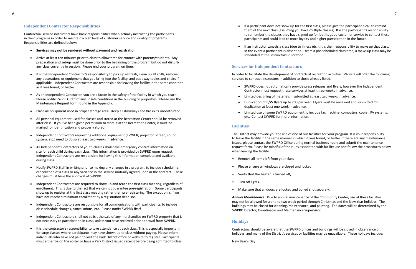#### <span id="page-3-0"></span>**Independent Contractor Responsibilities**

Contractual service instructors have basic responsibilities when actually instructing the participants in their programs in order to maintain a high level of customer service and quality of programs. Responsibilities are defined below:

- • **Services may not be rendered without payment and registration.**
- Arrive at least ten minutes prior to class to allow time for contact with parents/students. Any preparation and set-up must be done prior to the beginning of the program but do not disturb any class currently in session. Please end your program on time.
- • It is the Independent Contractor's responsibility to pick up all trash, clean up all spills, remove any decorations or equipment that you bring into the facility, and put away tables and chairs if applicable. Independent Contractors are responsible for leaving the facility in the same condition as it was found, or better.
- As an Independent Contractor, you are a factor in the safety of the facility in which you teach. Please notify SWPRD Staff of any unsafe conditions in the building or properties. Please use the Maintenance Request form found in the Appendix.
- Place all equipment used in proper storage area. Keep all doorways and fire exits unobstructed.
- All personal equipment used for classes and stored at the Recreation Center should be removed after class. If you've been given permission to store it at the Recreation Center, it must be marked for identification and properly stored.
- Independent Contractors requesting additional equipment (TV/VCR, projector, screen, sound system, etc.) need to do so at least two weeks in advance.
- All Independent Contractors of youth classes shall have emergency contact information on site for each child during each class. This information is provided by SWPRD upon request. Independent Contractors are responsible for having this information complete and available during class.
- Notify SWPRD Staff in writing prior to making any changes in a program, to include scheduling, cancellation of a class or any variance in the service mutually agreed upon in the contract. These changes must have the approval of SWPRD.
- Independent Contractors are required to show up and teach the first class meeting, regardless of enrollment. This is due to the fact that we cannot guarantee pre-registration. Some participants show up to register at the first class meeting rather than pre-registering. The exception is if we have not reached minimum enrollment by a registration deadline.
- Independent Contractors are responsible for all communications with participants, to include class schedule changes, cancellations, etc. Please notify SWPRD first!
- Independent Contractors shall not solicit the sale of any merchandise on SWPRD property that is not necessary to participation in class, unless you have received prior approval from SWPRD.
- It is the contractor's responsibility to take attendance at each class. This is especially important for large classes where participants may have shown up to class without paying. Please inform individuals who have not paid to visit the Park District office or website to register. Participants must either be on the roster or have a Park District issued receipt before being admitted to class.

• If a participant does not show up for the first class, please give the participant a call to remind them of the next class (assuming you have multiple classes). It is the participant's responsibility to remember the classes they have signed up for, but its good customer service to contact these participants and could lead to more loyalty and higher participation in the future.

• If an instructor cancels a class (due to illness etc.), it is their responsibility to make up that class. In the event a participant is absent or ill from a pre-scheduled class time, a make-up class may be

- 
- scheduled at the instructor's discretion.

#### **Services for Independent Contractors**

In order to facilitate the development of contractual recreation activities, SWPRD will offer the following services to contract instructors in addition to those already listed.

• SWPRD does not automatically provide press releases and flyers, however the Independent

• Duplication of B/W flyers up to 200 per year. Flyers must be reviewed and submitted for

- Contractor must request these services at least three weeks in advance.
- Limited designing of materials if submitted at least two weeks in advance.
- duplication at least one week in advance.
- etc. Contact SWPRD for more information.

• Limited use of some SWPRD equipment to include fax machine, computers, copier, PA systems,

#### **Facilities**

The District may provide you the use of one of our facilities for your program. It is your responsibility to leave the facility in the same manner in which it was found, or better. If there are any maintenance issues, please contact the SWPRD Office during normal business hours and submit the maintenance request form. Please be mindful of the rules associated with facility use and follow the procedures below when leaving the facility:

- Remove all items left from your class
- Please ensure all windows are closed and locked;
- Verify that the heater is turned off;
- Turn off lights.
- Make sure that all doors are locked and pulled shut securely.

*Annual Maintenance* Due to annual maintenance of the Community Center, use of these facilities may not be allowed for a one to two week period through Christmas and the New Year holidays. The buildings may be closed for cleaning, maintenance, and painting. The dates will be determined by the SWPRD Director, Coordinator and Maintenance Supervisor.

#### **Holidays**

Contractors should be aware that the SWPRD offices and buildings will be closed in observance of holidays and many of the District's services or facilities may be unavailable. These holidays include:

New Year's Day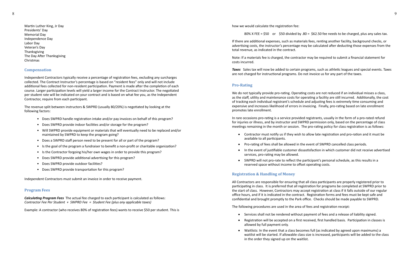<span id="page-4-0"></span>Martin Luther King, Jr Day Presidents' Day Memorial Day Independence Day Labor Day Veteran's Day Thanksgiving The Day After Thanksgiving Christmas

#### **Compensation**

Independent Contractors typically receive a percentage of registration fees, excluding any surcharges collected. The Contract Instructor's percentage is based on "resident fees" only and will not include additional fees collected for non-resident participation. Payment is made after the completion of each course. Larger participation levels will yield a larger income for the Contract Instructor. The negotiated per student rate will be indicated on your contract and is based on what fee you, as the Independent Contractor, require from each participant.

The revenue split between instructors & SWPRD (usually 80/20%) is negotiated by looking at the following factors:

- Does SWPRD handle registration intake and/or pay invoices on behalf of this program?
- Does SWPRD provide indoor facilities and/or storage for the program?
- Will SWPRD provide equipment or materials that will eventually need to be replaced and/or maintained by SWPRD to keep the program going?
- Does a SWPRD staff person need to be present for all or part of the program?
- Is the goal of the program a fundraiser to benefit a non-profit or charitable organization?
- Is the Contractor forgoing his/her own wages in order to provide this program?
- Does SWPRD provide additional advertising for this program?
- Does SWPRD provide outdoor facilities?
- Does SWPRD provide transportation for this program?

Independent Contractors must submit an invoice in order to receive payment.

#### **Program Fees**

*Calculating Program Fees* The actual fee charged to each participant is calculated as follows: *Contractor Fee Per Student + SWPRD Fee = Student Fee (plus any applicable taxes)*

Example: A contractor (who receives 80% of registration fees) wants to receive \$50 per student. This is

how we would calculate the registration fee:

80% X FEE =  $$50$  or  $$50$  divided by .80 =  $$62.50$  fee needs to be charged, plus any sales tax.

If there are additional expenses, such as materials fees, renting another facility, background checks, or advertising costs, the instructor's percentage may be calculated after deducting those expenses from the total revenue, as indicated in the contract.

Note: If a materials fee is charged, the contractor may be required to submit a financial statement for costs incurred.

*Taxes* Sales tax will now be added to certain programs, such as athletic leagues and special events. Taxes are not charged for instructional programs. Do not invoice us for any part of the taxes.

#### **Pro-Rating**

We do not typically provide pro-rating. Operating costs are not reduced if an individual misses a class, as the staff, utility and maintenance costs for operating a facility are still incurred. Additionally, the cost of tracking each individual registrant's schedule and adjusting fees is extremely time consuming and expensive and increases likelihood of errors in invoicing. Finally, pro-rating based on late enrollment promotes late enrollment.

In rare occasions pro-rating is a service provided registrants, usually in the form of a pro-rated refund for injuries or illness, and by instructor and SWPRD permission only, based on the percentage of class meetings remaining in the month or session. The pro-rating policy for class registration is as follows:

- available to all participants.
- • Pro-rating of fees shall be allowed in the event of SWPRD cancelled class periods.
- services, pro-rating may be allowed.
- reserved space without income to offset operating costs.

• SWPRD will not pro-rate to reflect the participant's personal schedule, as this results in a

#### **Registration & Handling of Money**

All Contractors are responsible for ensuring that all class participants are properly registered prior to participating in class. It is preferred that all registration for programs be completed at SWPRD prior to the start of class. However, Contractors may accept registration at class if it falls outside of our regular office hours, and if it is indicated in the contract. Registration forms and fees must be kept safe and confidential and brought promptly to the Park office. Checks should be made payable to SWPRD.

The following procedures are used in the area of fees and registration receipt:

• Services shall not be rendered without payment of fees and a release of liability signed.

• Registration will be accepted on a first received, first handled basis. Participation in classes is

• Waitlists: In the event that a class becomes full (as indicated by agreed upon maximums) a waitlist will be started. If allowable class size is increased, participants will be added to the class

- 
- allowed by full payment only.
- in the order they signed up on the waitlist.

• Contractor must notify us if they wish to allow late registration and pro-ration and it must be

• In the event of justifiable customer dissastisfaction in which customer did not receive advertised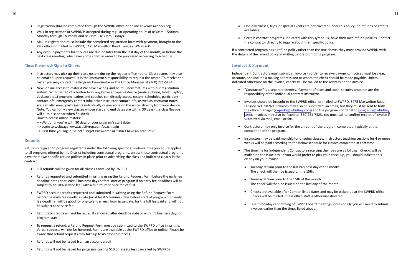• One day classes, trips, or special events are not covered under this policy (no refunds or credits

• Certain contract programs, indicated with this symbol: §, have their own refund policies. Contact

- <span id="page-5-0"></span>• Registration shall be completed through the SWPRD office or online at www.swparks.org
- Walk-in registration at SWPRD is accepted during regular operating hours of 8:30am 5:00pm, Monday through Thursday, and 8:30am – 4:30pm, Fridays.
- Mail-in registration must include the completed registration form with payment, brought to the Park office or mailed to SWPRD, 5475 Maxwelton Road, Langley, WA 98260.
- Any drop-in payments for services are due no later than the last day of the month, or before the next class meeting, whichever comes first, in order to be processed according to schedule.

#### **Class Rosters & Sign-In Sheets**

- Instructors may pick up their class rosters during the regular office hours. Class rosters may also be emailed upon request. It is the instructor's responsibility to request the roster. To receive the roster you may contact the Program Coordinator or the Office Manager at (360) 221-5484.
- New: online access to rosters! We have exciting and helpful new features with our registration system! With the tap of a button from any browser capable device (mobile phone, tablet, laptop, desktop etc…) program leaders and coaches can directly access rosters, schedules, participant contact info, emergency contact info, other instructor contact info, as well as instructor notes. You can also email participants individually or everyone on the roster directly from your device. Note: You can only view classes whose start and end dates are within 30 days (the class/league will auto disappear when finished).

- • Full refunds will be given for all classes cancelled by SWPRD.
- Refunds requested and submitted in writing using the Refund Request Form before the early fee deadline date (or at least 5 business days before start of program if no early fee deadline) will be subject to an 10% service fee, with a minimum service fee of \$10.
- SWPRD account credits requested and submitted in writing using the Refund Request Form before the early fee deadline date (or at least 5 business days before start of program if no early fee deadline) will be good for one calendar year from issue date, for the full fee paid and will not be subject to service fee.
- Refunds or credits will not be issued if cancelled after deadline date or within 5 business days of program start.
- • To request a refund, a Refund Request Form must be submitted to the SWPRD office in writing. Verbal requests will not be honored. Forms are available at the SWPRD office or online. Please be aware that refund requests may take up to 45 days to process.
- Refunds will not be issued from an account credit.
- Refunds will not be issued for programs costing \$10 or less (unless cancelled by SWPRD).

How to access online rosters:

- --> Wait until you're with 30 days of your program's start date.
- --> Login to webpage www.activityreg.com/coachlogin
- --> First time you log in, select "Forgot Password" or "Don't have an account?"

#### **Refunds**

Refunds are given to program registrants under the following specific guidelines. This procedure applies to all programs offered by the District including contractual programs, unless those contractual programs have their own specific refund policies in place prior to advertising the class and indicated clearly in the contract.

• Instructors may be paid monthly for ongoing classes. Instructors teaching sessions for 4 or more weeks will be paid according to the below schedule for classes completed at that time.

• The timeline for Independent Contractors receiving their pay are as follows. Checks will be mailed on the issue day. If you would prefer to pick your check up, you should indicate this

• Checks are available after 2pm on listed dates and may be picked up at the SWPRD office.

• Due to holidays and timing of SWPRD board meetings, occasionally you will need to submit

- available).
- the contractor directly to inquire about their specific policy.

If a contracted program has a refund policy other than the one above, they must provide SWPRD with the details of the refund policy in writing before promoting program.

#### **Invoices & Payment**

Independent Contractors must submit an invoice in order to receive payment. Invoices must be clear, accurate, and include a mailing address and to whom the check should be made payable. Unless indicated otherwise on the invoice, checks will be mailed to the address on the invoice.

• "Contractor" is a separate identity. Payment of taxes and social security amounts are the

• Invoices should be brought to the SWPRD office, or mailed to SWPRD, 5475 Maxwelton Road, Langley, WA 98260. Invoices may also be submitted via email, but they must be sent to both the office manager ([swparks@whidbey.com](mailto:swparks@whidbey.com)) and the program coordinator ([programs@whidbey.](mailto:programs@whidbey.com) [com](mailto:programs@whidbey.com)). Invoices may also be faxed to (360)221-7323. You must call to confirm receipt of invoice if

• Contractors may only invoice for the amount of the program completed, typically at the

- responsibility of the individual contract instructor.
- submitted via mail, email or fax.
- completion of the program.
- 
- clearly on your invoice.
	- • Tuesday at 9am prior to the last business day of the month. The check will then be issued on the 15th.
	- • Tuesday at 9am prior to the 15th of the month. The check will then be issued on the last day of the month.
	- Checks will be mailed unless office staff is otherwise directed.
	- invoices earlier than the times listed above.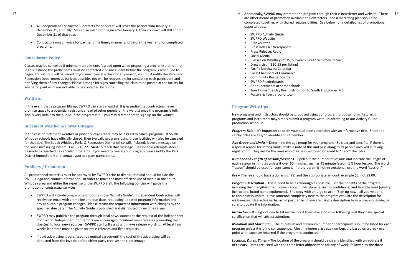- <span id="page-6-0"></span>All Independent Contractor "Contracts for Services" will cover the period from January  $1 -$ December 31, annually. Should an instructor begin after January 1, their contract will still end on December 31 of that year.
- Contractors must invoice for payment in a timely manner and before the year end for completed programs.

#### **Cancellation Policy**

Classes may be cancelled if minimum enrollments (agreed upon when proposing a program) are not met. In this instance the participants must be contacted 2 business days before the program is scheduled to begin, and refunds will be issued. If you must cancel a class for any reason, you must notify the Parks and Recreation Department as early as possible. You will be responsible for contacting each participant and notifying them of any changes. Please arrange for signs cancelling the class to be posted at the facility for any participant who was not able to be contacted by phone.

#### **Waitlists**

In the event that a program fills up, SWPRD can start a waitlist. It is essential that contractors never promise space to a potential registrant ahead of other people on the waitlist once the program is full. This is very unfair to the public. If the program is full you may direct them to sign up on the waitlist.

#### **Inclement Weather & Power Outages**

- SWPRD will include program descriptions in the "Activity Guide". Independent Contractors will receive an email with a timeline and due date, requesting updated program information and any applicable program changes. Please return the requested information with changes by the specified due date. The Activity Guide is published and distributed three times a year.
- SWPRD may publicize the program through local news sources at the request of the Independent Contractor. Independent Contractors are encouraged to submit news releases promoting their class(es) to local news sources. SWPRD staff will assist with news release wording. At least two weeks lead time must be given for press releases and flyer requests.
- If paid advertising is purchased (by mutual agreement) the cost of the advertising will be deducted from the invoice before either party receives their percentage.

In the case of inclement weather or power outages there may be a need to cancel programs. If South Whidbey schools have officially closed, then typically programs using those facilities will also be canceled for that day. The South Whidbey Parks & Recreation District office will, if closed, leave a message on the voice messaging system. Call (360) 221-5484 to reach that message. Reasonable attempts should be made to re-schedule canceled programs. If you need to cancel your program please notify the Park District immediately and contact your program participants.

#### **Publicity / Promotion**

All promotional materials must be approved by SWPRD prior to distribution and should include the SWPRD logo and contact information. In order to make the most efficient use of media in the South Whidbey area and utilize the expertise of the SWPRD Staff, the following policies will guide the promotion of contractual services:

- opportunities:
	- SWPRD Activity Guide
	- SWPRD Website
	- E-Newsletter
	- Press Release: Newspapers
	- Press Release: Radio
	- Social Media
	- Classes on Whidbey (~\$15, 50 words, South Whidbey Record)
	- Drew's List ( $\sim$ \$10-15 per listing)
	- Pacific Northwest Calendar
	- Local Chambers of Commerce
	- Community Readerboards
	- SWPRD Readerboards
	- Announcements at some schools
	- Take Home Tuesday flyer distribution to South End grades K-5
	- Posters & flyers around town

#### **Program Write Ups**

New programs and instructors should be proposed using our program proposal form. Returning programs and instructors may simply submit a program write-up according to our Activity Guide production schedule.

*Program Title* – It's important to catch your audience's attention with an informative title. Short and catchy titles are easy to identify and remember.

*Age Group and Limits* – Determine the age group for your program. Be clear and specific. If there is a special reason for setting limits, make a note of this and pass along to all people involved in taking registration. They will be the ones who may be questioned or asked to "bend" the rules.

*Number and Length of Lessons/Sessions* – Spell out the number of lessons and indicate the length of each session in minutes unless it over 60 minutes, such as 45 minute lesson, 1 ½ hour lesson. The word "lesson" should be used for consistency. If the program is not instructional, use the word "session."

*Fee* – The fee should have a dollar sign (\$) and the appropriate amount, example \$3, not \$3.00.

*Program Description* – These need to be as thorough as possible. List the benefits of the program, including the intangible ones (convenience, builds stamina, instills confidence) and tangible ones (quality instructors, brand name equipment). End copy with an urge to act – "Sign up now!, all you've done to this point is inform. Have someone completely new to the program evaluate the description for weaknesses. Use active verbs, avoid past tense. If you are using a description from a previous guide, be sure to update the information.

*Instructors* – It's a good idea to list instructors if they have a positive following or if they have special certification that will attract attention.

*Minimum and Maximum* – The minimum and maximum number of participants should be listed for each program unless it is of no consequence. Most minimum class size numbers are based on a break even point with expenses incurred if the program is conducted.

*Location, Dates, Times* – The location of the program should be clearly identified with an address if necessary. Dates are listed with the three letter abbreviation for day of week, followed by the three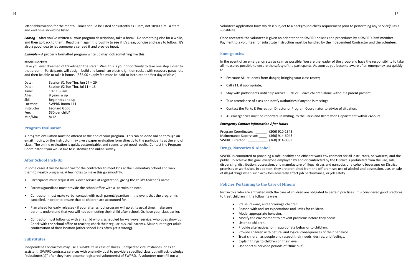<span id="page-7-0"></span>letter abbreviation for the month. Times should be listed consistently as 10am, not 10:00 a.m. A start and end time should be listed.

Have you ever dreamed of traveling to the stars? Well, this is your opportunity to take one step closer to that dream. Participants will design, build and launch an electric ignition rocket with recovery parachute and then be able to take it home. (\*\$5.00 supply fee must be paid to instructor on first day of class.)

*Editing* – After you've written all your program descriptions, take a break. Do something else for a while, and then go back to them. Read them again thoroughly to see if it's clear, concise and easy to follow. It's also a good idea to let someone else read it and provide input.

*Example* – A properly formatted program write up may look something like this:

#### **Model Rockets**

| Date:       | Session #1 Tue-Thu, Jun 27 - 29   |
|-------------|-----------------------------------|
| Date:       | Session #2 Tue-Thu, Jul $11 - 13$ |
| Time:       | 10-11:30am                        |
| Ages:       | 9 years & up                      |
| Skill:      | Beginners and up                  |
| Location:   | SWPRD Room 111                    |
| Instructor: | Leonard Good                      |
| Fee:        | \$30 per child*                   |
| Min/Max:    | 8/12                              |
|             |                                   |

#### **Program Evaluation**

A program evaluation must be offered at the end of your program. This can be done online through an email inquiry, or the instructor may give a paper evaluation form directly to the participants at the end of class. The online evaluation is quick, customizable, and seems to get good results. Contact the Program Coordinator if you would like to customize the online survey.

#### **After School Pick-Up**

In some cases it will be beneficial for the contractor to meet kids at the Elementary School and walk them to nearby programs. A few notes to make this go smoothly:

- Participants must request walk-over service at registration, giving the child's teacher's name.
- Parents/guardians must provide the school office with a permission note.
- Contractor must make verbal contact with each parent/guardian in the event that the program is cancelled, in order to ensure that all children are accounted for.
- Plan ahead for early releases if your after school program will go at its usual time, make sure parents understand that you will not be meeting their child after school. Or, have your class earlier.
- Contractor must follow up with any child who is scheduled for walk-over service, who does show up. Check with the school office or teacher, check their regular bus, call parents. Make sure to get adult confirmation of their location (other school kids often get it wrong).

#### **Substitutes**

Independent Contractors may use a substitute in case of illness, unexpected circumstances, or as an assistant. SWPRD contracts services with one individual to provide a specified class but will acknowledge "substitutes(s)" after they have become registered volunteer(s) of SWPRD. A volunteer must fill out a

- Praise, reward, and encourage children.
- • Reason with and set expectations and limits for children.
- • Model appropriate behavior.
- • Modify the environment to prevent problems before they occur.
- • Listen to children.
- • Provide alternatives for inappropriate behavior to children.
- Provide children with natural and logical consequences of their behavior.
- Treat children as people and respect their needs, desires, and feelings.
- • Explain things to children on their level.
- • Use short supervised periods of "time out".

Volunteer Application form which is subject to a background check requirement prior to performing any service(s) as a substitute.

Once accepted, the volunteer is given an orientation to SWPRD policies and procedures by a SWPRD Staff member. Payment to a volunteer for substitute instruction must be handled by the Independent Contractor and the volunteer.

#### **Emergencies**

In the event of an emergency, stay as calm as possible. You are the leader of the group and have the responsibility to take all measures possible to ensure the safety of the particpants. As soon as you become aware of an emergency, act quickly to:

- Evacuate ALL students from danger, bringing your class roster;
- Call 911, if appropriate;
- Stay with participants until help arrives NEVER leave children alone without a parent present;
- Take attendance of class and notify authorities if anyone is missing;
- Contact the Parks & Recreation Director or Program Coordinator to advise of situation.
- All emergencies must be reported, in writing, to the Parks and Recreation Department within 24hours.

#### *Emergency Contact Information After Hours*

| Program Coordinator:    | (206) 910-1343   |
|-------------------------|------------------|
| Maintenance Supervisor: | $(360)$ 914-6043 |
| <b>SWPRD Director:</b>  | (360) 914-0383   |

#### **Drugs, Narcotics & Alcohol**

SWPRD is committed to providing a safe, healthy and efficient work environment for all instructors, co-workers, and the public. To achieve this goal, everyone employed by and or contracted by the District is prohibited from the use, sale, dispensing, distribution, possession, and manufacture of illegal drugs and narcotics or alcoholic beverages on District premises or work sites. In addition, they are prohibited from the off-premises use of alcohol and possession, use, or sale of illegal drugs when such activities adversely affect job performance, or job safety.

#### **Policies Pertaining to the Care of Minors**

Instructors who are entrusted with the care of children are obligated to certain practices. It is considered good practices to treat children in the following ways.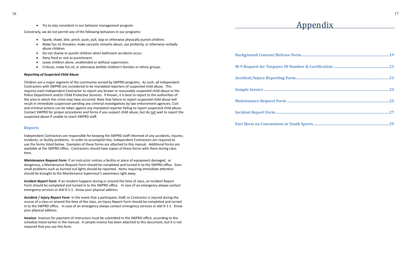• Try to stay consistent in our behavior management program.

- • Spank, shake, bite, pinch, push, pull, slap or otherwise physically punish children.
- Make fun of, threaten, make sarcastic remarks about, use profanity, or otherwise verbally abuse children.
- • Do not shame or punish children when bathroom accidents occur.
- Deny food or rest as punishment.
- • Leave children alone, unattended or without supervision.
- Criticize, make fun of, or otherwise belittle children's families or ethnic groups.

<span id="page-8-0"></span>Conversely, we do not permit any of the following behaviors in our programs:

#### *Reporting of Suspected Child Abuse*

Children are a major segment of the community served by SWPRD programs. As such, all Independent Contractors with SWPRD are considered to be mandated reporters of suspected child abuse. This requires each Independent Contractor to report any known or reasonably suspected child abuse to the Police Department and/or Child Protective Services. If known, it is best to report to the authorities of the area in which the crime may have occurred. Note that failure to report suspected child abuse will result in immediate suspension pending any criminal investigations by law enforcement agencies. Civil and criminal actions can be taken against any mandated reporter failing to report suspected child abuse. Contact SWPRD for proper procedures and forms if you suspect child abuse, but do not wait to report the suspected abuse if unable to reach SWPRD staff.

**Incident Report Form** If an incident happens during or around the time of class, an Incident Report Form should be completed and turned in to the SWPRD office. In case of an emergency always contact emergency services or dial 9-1-1. Know your physical address.

#### **Reports**

Independent Contractors are responsible for keeping the SWPRD staff informed of any accidents, injuries, incidents, or facility problems. In order to accomplish this, Independent Contractors are required to use the forms listed below. Examples of these forms are attached to this manual. Additional forms are available at the SWPRD office. Contractors should have copies of these forms with them during class time.

Background Consent/Release Form..... **W-9 Request for Taxpayer ID Number Accident/Injury Reporting Form...................................................................................................21 Sample Invoice ....................................................................................................................................23** Maintenance Request Form ...................... **Incident Report Form........................................................................................................................27**

**Fact Sheet on Concussions in Youth Sp** 



*Maintenance Request Form* If an instructor notices a facility or piece of equipment damaged, or dangerous, a Maintenance Request Form should be completed and turned in to the SWPRD office. Even small problems such as burned out lights should be reported. Items requiring immediate attention should be brought to the Maintenance Supervisor's awareness right away.

*Accident / Injury Report Form* In the event that a participant, Staff, or Contractor is injured during the course of a class or around the time of the class, an Injury Report Form should be completed and turned in to the SWPRD office. In case of an emergency always contact emergency services or dial 9-1-1. Know your physical address.

*Invoices* Invoices for payment of instructors must be submitted to the SWPRD office, according to the schedule listed earlier in the manual. A sample invoice has been attached to this document, but it is not required that you use this form.

## Appendix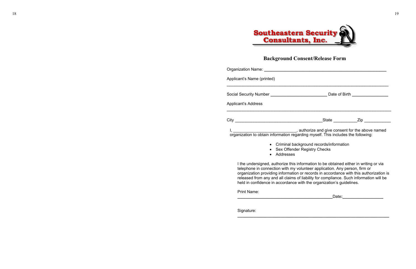# **Southeastern Security<br>Consultants, Inc.**

### **Background Conse**

| Applicant's Name (printed)                                                        |  |
|-----------------------------------------------------------------------------------|--|
| <b>Applicant's Address</b>                                                        |  |
|                                                                                   |  |
|                                                                                   |  |
| organization to obtain information regarding myself. This includes the following: |  |
| • Criminal background records/information                                         |  |

• Sex Offender Registry Checks

- 
- Addresses

I the undersigned, authorize this information to be obtained either in writing or via telephone in connection with my volunteer application. Any person, firm or organization providing information or records in accordance with this authorization is released from any and all claims of liability for compliance. Such information will be held in confidence in accordance with the organization's guidelines.

Print Name:

| ┅<br>----- |
|------------|
|            |

Signature:



| ent/Release Form |  |
|------------------|--|
|------------------|--|

**\_\_\_\_\_\_\_\_\_\_\_\_\_\_\_\_\_\_\_\_\_\_\_\_\_\_\_\_\_\_\_\_\_\_\_\_\_\_\_\_\_\_\_\_\_\_\_\_\_\_\_\_\_\_\_\_\_\_\_\_\_\_\_\_\_\_\_**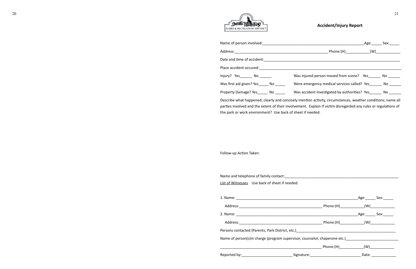

#### **Accident/Injury Report**

| Name of person involved:<br>Name of person involved:                                                                                                                                                                          |                                                                                                             | Age: | Sex: and the set of the set of the set of the set of the set of the set of the set of the set of the set of th |
|-------------------------------------------------------------------------------------------------------------------------------------------------------------------------------------------------------------------------------|-------------------------------------------------------------------------------------------------------------|------|----------------------------------------------------------------------------------------------------------------|
|                                                                                                                                                                                                                               |                                                                                                             |      |                                                                                                                |
| Date and time of accident:                                                                                                                                                                                                    |                                                                                                             |      |                                                                                                                |
| Place accident occured: Management of the set of the set of the set of the set of the set of the set of the set of the set of the set of the set of the set of the set of the set of the set of the set of the set of the set |                                                                                                             |      |                                                                                                                |
| Injury? Yes ________ No _____                                                                                                                                                                                                 | Was injured person moved from scene? Yes No                                                                 |      |                                                                                                                |
| Was first aid given? Yes No                                                                                                                                                                                                   | Were emergency medical services called? Yes No                                                              |      |                                                                                                                |
| Property Damage? Yes _______ No ______                                                                                                                                                                                        | Was accident investigated by authorities? Yes No                                                            |      |                                                                                                                |
|                                                                                                                                                                                                                               | Describe what happened; clearly and concisely mention activity, circumstances, weather conditions; name all |      |                                                                                                                |

| Name and telephone of family contact:          |  |
|------------------------------------------------|--|
| List of Witnesses Use back of sheet if needed. |  |

parties involved and the extent of their involvement. Explain if victim disregarded any rules or regulations of the park or work environment? Use back of sheet if needed.

Follow-up Action Taken:

|          |                                                                                                                                                                                                                                | Age: Sex:            |
|----------|--------------------------------------------------------------------------------------------------------------------------------------------------------------------------------------------------------------------------------|----------------------|
| Address: |                                                                                                                                                                                                                                | Phone:(H) (W)        |
|          |                                                                                                                                                                                                                                | Age: Sex:            |
|          |                                                                                                                                                                                                                                |                      |
|          | Persons contacted (Parents, Park District, etc.) [2012] [2012] [2012] [2012] [2012] [2012] [2012] [2012] [2012] [2012] [2012] [2012] [2012] [2012] [2012] [2012] [2012] [2012] [2012] [2012] [2012] [2012] [2012] [2012] [2012 |                      |
|          | Name of person(s)in charge (program supervisor, counselor, chaperone etc.)                                                                                                                                                     |                      |
|          |                                                                                                                                                                                                                                | Phone:(H)        (W) |
|          | Reported by: the contract of the Signature: Signature:                                                                                                                                                                         | Date:                |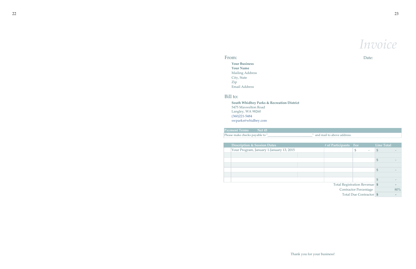Date:

**Your Business Your Name** Mailing Address City, State Zip Email Address

#### **Net 45 Payment Terms** Please make checks payable to "\_

**South Whidbey Parks & Recreation District** 5475 Maxwelton Road Langley, WA 98260 (360)221-5484 swparks@whidbey.com

| 11U11U                                   |                               |                   |     |
|------------------------------------------|-------------------------------|-------------------|-----|
| e make checks payable to"_               | and mail to above address.    |                   |     |
|                                          |                               |                   |     |
| <b>Description &amp; Session Dates</b>   | # of Participants<br>Fee      | <b>Line Total</b> |     |
| Your Program, January 1-January 13, 2015 | $\frac{1}{2}$                 | $\frac{1}{2}$     |     |
|                                          |                               |                   |     |
|                                          |                               | \$                |     |
|                                          |                               |                   |     |
|                                          |                               | $\mathfrak{S}$    |     |
|                                          |                               |                   |     |
|                                          |                               | $\mathfrak{S}$    |     |
|                                          | Total Registration Revenue \$ |                   |     |
|                                          | <b>Contractor Percentage</b>  |                   | 80% |
|                                          | Total Due Contractor \$       |                   |     |

Thank you for your business!

*Invoice*

#### From:

#### Bill to:

| <b>Description &amp; Session Dates</b>   |  |
|------------------------------------------|--|
| Your Program, January 1-January 13, 2015 |  |
|                                          |  |
|                                          |  |
|                                          |  |
|                                          |  |
|                                          |  |
|                                          |  |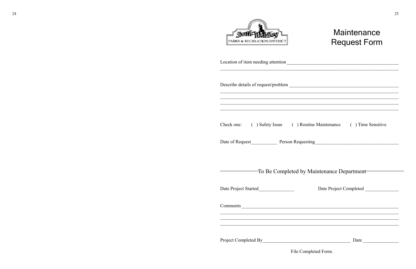| PARKS & RECREATION DISTRICT                                                                                                 |
|-----------------------------------------------------------------------------------------------------------------------------|
| Location of item needing attention                                                                                          |
| Describe details of request/problem                                                                                         |
|                                                                                                                             |
| Check one: () Safety Issue () Rout                                                                                          |
| Date of Request<br><u> </u> Person Request                                                                                  |
| -To Be Completed by N                                                                                                       |
|                                                                                                                             |
|                                                                                                                             |
| <u> 1989 - Johann Johann Johann Johann Johann Johann Johann Johann Johann Johann Johann Johann Johann Johann Johann Joh</u> |
|                                                                                                                             |

## Maintenance **Request Form**

tine Maintenance () Time Sensitive

 $\overline{\mathrm{img}}\_$ 

Maintenance Department

Date Project Completed

Date

File Completed Form.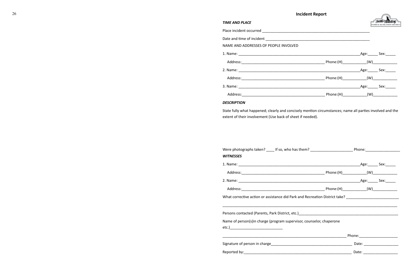| <b>TIME AND PLACE</b>                                                                                          |  |           |
|----------------------------------------------------------------------------------------------------------------|--|-----------|
|                                                                                                                |  |           |
|                                                                                                                |  |           |
| NAME AND ADDRESSES OF PEOPLE INVOLVED                                                                          |  |           |
|                                                                                                                |  |           |
|                                                                                                                |  |           |
|                                                                                                                |  |           |
|                                                                                                                |  |           |
|                                                                                                                |  |           |
|                                                                                                                |  |           |
| <b>DESCRIPTION</b>                                                                                             |  |           |
| extent of their involvement (Use back of sheet if needed).                                                     |  |           |
|                                                                                                                |  |           |
| <b>WITNESSES</b>                                                                                               |  |           |
|                                                                                                                |  | Age: Sex: |
|                                                                                                                |  |           |
|                                                                                                                |  |           |
|                                                                                                                |  |           |
| What corrective action or assistance did Park and Recreation District take? __________________________________ |  |           |
| Persons contacted (Parents, Park District, etc.) [1995] [2012] [2013] [2013] [2014] [2014] [2014] [2014] [2014 |  |           |
| Name of person(s)in charge (program supervisor, counselor, chaperone                                           |  |           |
|                                                                                                                |  |           |
|                                                                                                                |  |           |

| Were photographs taken? _____ If so, who has them? __________________________Phone:_____________________       |  |  |
|----------------------------------------------------------------------------------------------------------------|--|--|
| <b>WITNESSES</b>                                                                                               |  |  |
|                                                                                                                |  |  |
|                                                                                                                |  |  |
|                                                                                                                |  |  |
|                                                                                                                |  |  |
| What corrective action or assistance did Park and Recreation District take? __________________________________ |  |  |
|                                                                                                                |  |  |
|                                                                                                                |  |  |
| Name of person(s)in charge (program supervisor, counselor, chaperone                                           |  |  |
|                                                                                                                |  |  |
|                                                                                                                |  |  |
|                                                                                                                |  |  |
|                                                                                                                |  |  |
|                                                                                                                |  |  |

|  | ignature of person in charge |
|--|------------------------------|
|  |                              |

| $\sim$ |                       | Incident Report<br>the contract of the contract of the contract of the contract of the contract of the contract of the contract of | يستبير<br>- 50 |
|--------|-----------------------|------------------------------------------------------------------------------------------------------------------------------------|----------------|
|        | <b>TIME AND PLACE</b> |                                                                                                                                    |                |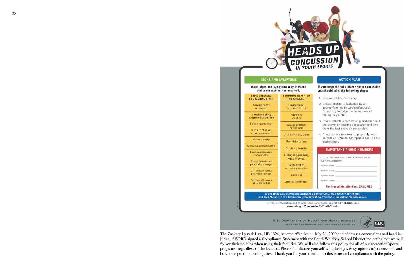

These signs and symptoms may indicate that a concussion has occurred. **SIGNS OBSERVED SYMPTOMS REPORTE** BY COACHING STAFF BY ATHLETE Headache or Appears dazed "pressure" in head or stunned Is confused about Nausea or assignment or position vomiting Forgets sports plays **Balance** problems or dizziness Is unsure of game, score, or opponent Double or blurry visic Moves clumsily Sensitivity to light Answers questions slowly Sensitivity to noise Loses consciousness (even briefly) Feeling sluggish, hazy foggy, or groggy Shows behavior or personality changes Concentration or memory problem Can't recall events prior to hit or fall Confusion Can't recall events Does not "feel right" after hit or fall If you think your athlete has sustair and seek the advice of a health care prof For more information and to order www.cdc.gov/Cor **U.S. DEPARTMENT OF CENTERS FOR DI** 

The Zackery Lystedt Law, HB 1824, became effective on July 26, 2009 and addresses concussions and head injuries. SWPRD signed a Compliance Statement with the South Whidbey School District indicating that we will follow their policies when using their facilities. We will also follow this policy for all of our recreation/sports programs, regardless of the location. Please familiarize yourself with the signs & symptoms of concussions and how to respond to head injuries. Thank you for your attention to this issue and compliance with the policy.

| 1. Remove athlete from play.                                                                                                                                           |
|------------------------------------------------------------------------------------------------------------------------------------------------------------------------|
| 2. Ensure athlete is evaluated by an<br>appropriate health care professional.<br>Do not try to judge the seriousness of<br>the injury yourself.                        |
| 3. Inform athlete's parents or guardians about<br>the known or possible concussion and give<br>them the fact sheet on concussion.                                      |
| 4. Allow athlete to return to play only with<br>permission from an appropriate health care<br>professional.                                                            |
| <b>IMPORTANT PHONE NUMBERS</b>                                                                                                                                         |
| FILL IN THE NAME AND NUMBER OF YOUR LOCAL<br>HOSPITAL(S) BELOW:                                                                                                        |
| Hospital Name:                                                                                                                                                         |
| Hospital Phone:<br>the control of the control of the control of                                                                                                        |
| the control of the control of the<br>Hospital Name:                                                                                                                    |
| Hospital Phone:                                                                                                                                                        |
| For immediate attention, CALL 911                                                                                                                                      |
| ed a concussion take him/her out of play,<br>ssional experienced in evaluating for concussion.<br>additional materials free-of-charge, visit:<br>ncussionInYouthSports |